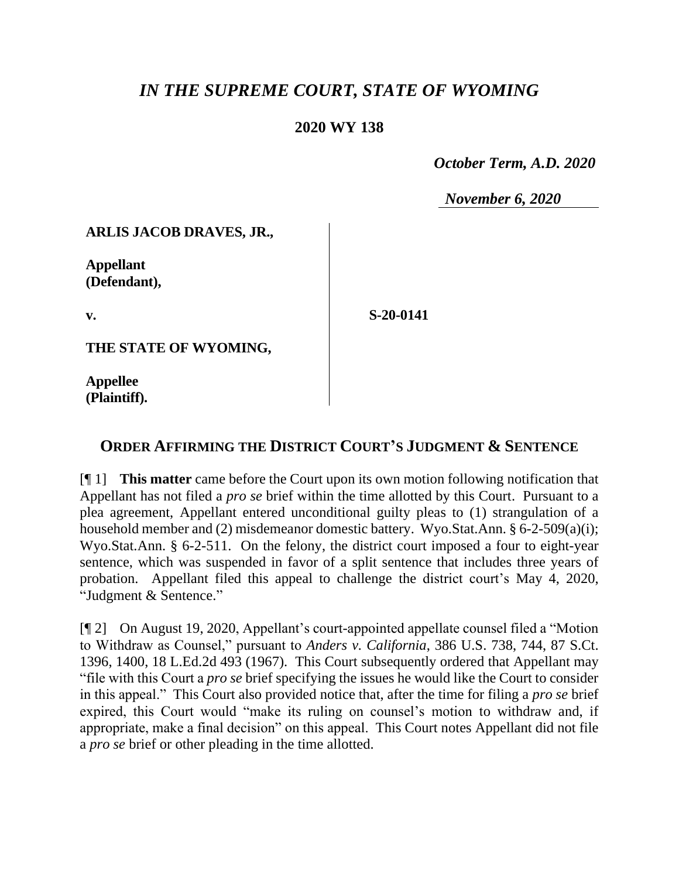# *IN THE SUPREME COURT, STATE OF WYOMING*

### **2020 WY 138**

 *October Term, A.D. 2020*

*November 6, 2020*

#### **ARLIS JACOB DRAVES, JR.,**

**Appellant (Defendant),**

**v.**

**S-20-0141**

**THE STATE OF WYOMING,**

**Appellee (Plaintiff).**

## **ORDER AFFIRMING THE DISTRICT COURT'S JUDGMENT & SENTENCE**

[¶ 1] **This matter** came before the Court upon its own motion following notification that Appellant has not filed a *pro se* brief within the time allotted by this Court. Pursuant to a plea agreement, Appellant entered unconditional guilty pleas to (1) strangulation of a household member and (2) misdemeanor domestic battery. Wyo.Stat.Ann. § 6-2-509(a)(i); Wyo.Stat.Ann. § 6-2-511. On the felony, the district court imposed a four to eight-year sentence, which was suspended in favor of a split sentence that includes three years of probation. Appellant filed this appeal to challenge the district court's May 4, 2020, "Judgment & Sentence."

[¶ 2] On August 19, 2020, Appellant's court-appointed appellate counsel filed a "Motion to Withdraw as Counsel," pursuant to *Anders v. California*, 386 U.S. 738, 744, 87 S.Ct. 1396, 1400, 18 L.Ed.2d 493 (1967). This Court subsequently ordered that Appellant may "file with this Court a *pro se* brief specifying the issues he would like the Court to consider in this appeal." This Court also provided notice that, after the time for filing a *pro se* brief expired, this Court would "make its ruling on counsel's motion to withdraw and, if appropriate, make a final decision" on this appeal. This Court notes Appellant did not file a *pro se* brief or other pleading in the time allotted.